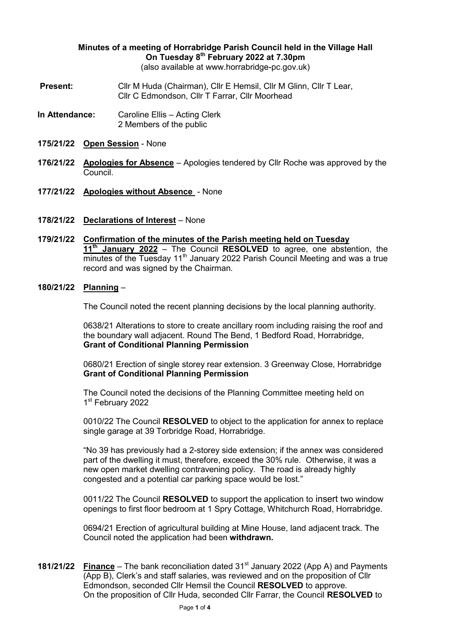## **Minutes of a meeting of Horrabridge Parish Council held in the Village Hall On Tuesday 8th February 2022 at 7.30pm**

(also available at www.horrabridge-pc.gov.uk)

- **Present:** Cllr M Huda (Chairman), Cllr E Hemsil, Cllr M Glinn, Cllr T Lear, Cllr C Edmondson, Cllr T Farrar, Cllr Moorhead
- **In Attendance:** Caroline Ellis Acting Clerk 2 Members of the public
- **175/21/22 Open Session** None
- **176/21/22 Apologies for Absence** Apologies tendered by Cllr Roche was approved by the Council.
- **177/21/22 Apologies without Absence**  None
- **178/21/22 Declarations of Interest** None
- **179/21/22 Confirmation of the minutes of the Parish meeting held on Tuesday 11th January 2022** – The Council **RESOLVED** to agree, one abstention, the  $\overline{\text{minutes}}$  of the Tuesday 11<sup>th</sup> January 2022 Parish Council Meeting and was a true record and was signed by the Chairman.
- **180/21/22 Planning** –

The Council noted the recent planning decisions by the local planning authority.

0638/21 Alterations to store to create ancillary room including raising the roof and the boundary wall adjacent. Round The Bend, 1 Bedford Road, Horrabridge, **Grant of Conditional Planning Permission**

0680/21 Erection of single storey rear extension. 3 Greenway Close, Horrabridge **Grant of Conditional Planning Permission**

The Council noted the decisions of the Planning Committee meeting held on 1st February 2022

0010/22 The Council **RESOLVED** to object to the application for annex to replace single garage at 39 Torbridge Road, Horrabridge.

"No 39 has previously had a 2-storey side extension; if the annex was considered part of the dwelling it must, therefore, exceed the 30% rule. Otherwise, it was a new open market dwelling contravening policy. The road is already highly congested and a potential car parking space would be lost."

0011/22 The Council **RESOLVED** to support the application to insert two window openings to first floor bedroom at 1 Spry Cottage, Whitchurch Road, Horrabridge.

0694/21 Erection of agricultural building at Mine House, land adjacent track. The Council noted the application had been **withdrawn.**

**181/21/22 Finance** – The bank reconciliation dated 31<sup>st</sup> January 2022 (App A) and Payments (App B), Clerk's and staff salaries, was reviewed and on the proposition of Cllr Edmondson, seconded Cllr Hemsil the Council **RESOLVED** to approve. On the proposition of Cllr Huda, seconded Cllr Farrar, the Council **RESOLVED** to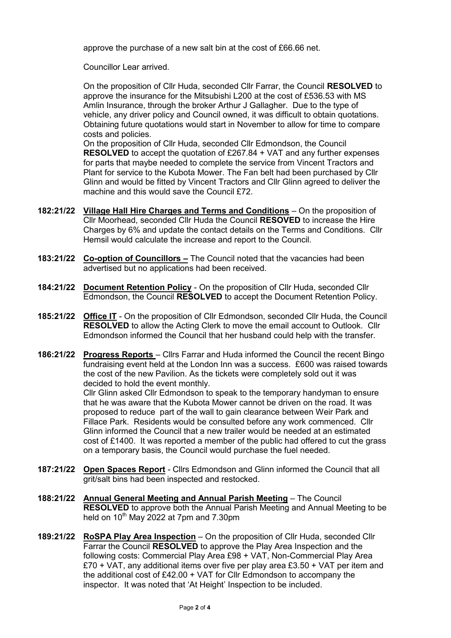approve the purchase of a new salt bin at the cost of £66.66 net.

Councillor Lear arrived.

On the proposition of Cllr Huda, seconded Cllr Farrar, the Council **RESOLVED** to approve the insurance for the Mitsubishi L200 at the cost of £536.53 with MS Amlin Insurance, through the broker Arthur J Gallagher. Due to the type of vehicle, any driver policy and Council owned, it was difficult to obtain quotations. Obtaining future quotations would start in November to allow for time to compare costs and policies.

On the proposition of Cllr Huda, seconded Cllr Edmondson, the Council **RESOLVED** to accept the quotation of £267.84 + VAT and any further expenses for parts that maybe needed to complete the service from Vincent Tractors and Plant for service to the Kubota Mower. The Fan belt had been purchased by Cllr Glinn and would be fitted by Vincent Tractors and Cllr Glinn agreed to deliver the machine and this would save the Council £72.

- **182:21/22 Village Hall Hire Charges and Terms and Conditions** On the proposition of Cllr Moorhead, seconded Cllr Huda the Council **RESOVED** to increase the Hire Charges by 6% and update the contact details on the Terms and Conditions. Cllr Hemsil would calculate the increase and report to the Council.
- **183:21/22 Co-option of Councillors –** The Council noted that the vacancies had been advertised but no applications had been received.
- **184:21/22 Document Retention Policy** On the proposition of Cllr Huda, seconded Cllr Edmondson, the Council **RESOLVED** to accept the Document Retention Policy.
- **185:21/22 Office IT** On the proposition of Cllr Edmondson, seconded Cllr Huda, the Council **RESOLVED** to allow the Acting Clerk to move the email account to Outlook. Cllr Edmondson informed the Council that her husband could help with the transfer.
- **186:21/22 Progress Reports**  Cllrs Farrar and Huda informed the Council the recent Bingo fundraising event held at the London Inn was a success. £600 was raised towards the cost of the new Pavilion. As the tickets were completely sold out it was decided to hold the event monthly.

Cllr Glinn asked Cllr Edmondson to speak to the temporary handyman to ensure that he was aware that the Kubota Mower cannot be driven on the road. It was proposed to reduce part of the wall to gain clearance between Weir Park and Fillace Park. Residents would be consulted before any work commenced. Cllr Glinn informed the Council that a new trailer would be needed at an estimated cost of £1400. It was reported a member of the public had offered to cut the grass on a temporary basis, the Council would purchase the fuel needed.

- **187:21/22 Open Spaces Report** Cllrs Edmondson and Glinn informed the Council that all grit/salt bins had been inspected and restocked.
- **188:21/22 Annual General Meeting and Annual Parish Meeting** The Council **RESOLVED** to approve both the Annual Parish Meeting and Annual Meeting to be held on  $10^{th}$  May 2022 at 7pm and 7.30pm
- **189:21/22 RoSPA Play Area Inspection** On the proposition of Cllr Huda, seconded Cllr Farrar the Council **RESOLVED** to approve the Play Area Inspection and the following costs: Commercial Play Area £98 + VAT, Non-Commercial Play Area £70 + VAT, any additional items over five per play area £3.50 + VAT per item and the additional cost of £42.00 + VAT for Cllr Edmondson to accompany the inspector. It was noted that 'At Height' Inspection to be included.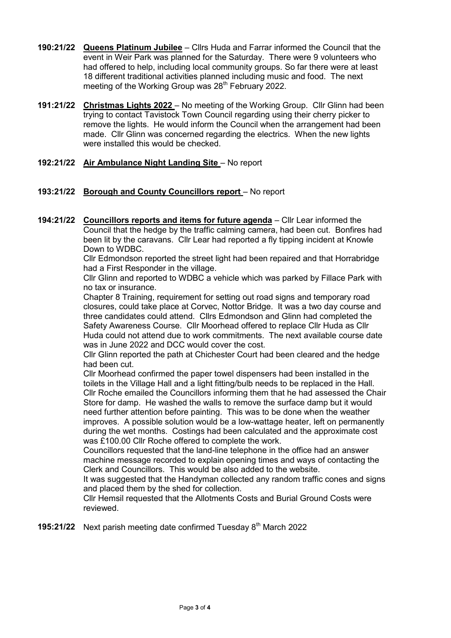- **190:21/22 Queens Platinum Jubilee** Cllrs Huda and Farrar informed the Council that the event in Weir Park was planned for the Saturday. There were 9 volunteers who had offered to help, including local community groups. So far there were at least 18 different traditional activities planned including music and food. The next meeting of the Working Group was 28<sup>th</sup> February 2022.
- **191:21/22 Christmas Lights 2022** No meeting of the Working Group. Cllr Glinn had been trying to contact Tavistock Town Council regarding using their cherry picker to remove the lights. He would inform the Council when the arrangement had been made. Cllr Glinn was concerned regarding the electrics. When the new lights were installed this would be checked.

## **192:21/22 Air Ambulance Night Landing Site** – No report

## **193:21/22 Borough and County Councillors report** – No report

**194:21/22 Councillors reports and items for future agenda** – Cllr Lear informed the Council that the hedge by the traffic calming camera, had been cut. Bonfires had been lit by the caravans. Cllr Lear had reported a fly tipping incident at Knowle Down to WDBC.

Cllr Edmondson reported the street light had been repaired and that Horrabridge had a First Responder in the village.

Cllr Glinn and reported to WDBC a vehicle which was parked by Fillace Park with no tax or insurance.

Chapter 8 Training, requirement for setting out road signs and temporary road closures, could take place at Corvec, Nottor Bridge. It was a two day course and three candidates could attend. Cllrs Edmondson and Glinn had completed the Safety Awareness Course. Cllr Moorhead offered to replace Cllr Huda as Cllr Huda could not attend due to work commitments. The next available course date was in June 2022 and DCC would cover the cost.

Cllr Glinn reported the path at Chichester Court had been cleared and the hedge had been cut.

Cllr Moorhead confirmed the paper towel dispensers had been installed in the toilets in the Village Hall and a light fitting/bulb needs to be replaced in the Hall. Cllr Roche emailed the Councillors informing them that he had assessed the Chair Store for damp. He washed the walls to remove the surface damp but it would need further attention before painting. This was to be done when the weather improves. A possible solution would be a low-wattage heater, left on permanently during the wet months. Costings had been calculated and the approximate cost was £100.00 Cllr Roche offered to complete the work.

Councillors requested that the land-line telephone in the office had an answer machine message recorded to explain opening times and ways of contacting the Clerk and Councillors. This would be also added to the website.

It was suggested that the Handyman collected any random traffic cones and signs and placed them by the shed for collection.

Cllr Hemsil requested that the Allotments Costs and Burial Ground Costs were reviewed.

**195:21/22** Next parish meeting date confirmed Tuesday 8<sup>th</sup> March 2022